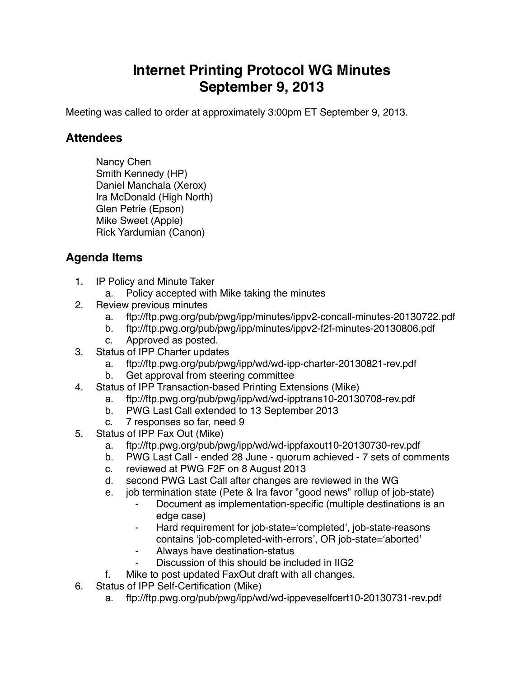## **Internet Printing Protocol WG Minutes September 9, 2013**

Meeting was called to order at approximately 3:00pm ET September 9, 2013.

## **Attendees**

Nancy Chen Smith Kennedy (HP) Daniel Manchala (Xerox) Ira McDonald (High North) Glen Petrie (Epson) Mike Sweet (Apple) Rick Yardumian (Canon)

## **Agenda Items**

- 1. IP Policy and Minute Taker
	- a. Policy accepted with Mike taking the minutes
- 2. Review previous minutes
	- a. ftp://ftp.pwg.org/pub/pwg/ipp/minutes/ippv2-concall-minutes-20130722.pdf
	- b. ftp://ftp.pwg.org/pub/pwg/ipp/minutes/ippv2-f2f-minutes-20130806.pdf
	- c. Approved as posted.
- 3. Status of IPP Charter updates
	- a. ftp://ftp.pwg.org/pub/pwg/ipp/wd/wd-ipp-charter-20130821-rev.pdf
	- b. Get approval from steering committee
- 4. Status of IPP Transaction-based Printing Extensions (Mike)
	- a. ftp://ftp.pwg.org/pub/pwg/ipp/wd/wd-ipptrans10-20130708-rev.pdf
	- b. PWG Last Call extended to 13 September 2013
	- c. 7 responses so far, need 9
- 5. Status of IPP Fax Out (Mike)
	- a. ftp://ftp.pwg.org/pub/pwg/ipp/wd/wd-ippfaxout10-20130730-rev.pdf
	- b. PWG Last Call ended 28 June quorum achieved 7 sets of comments
	- c. reviewed at PWG F2F on 8 August 2013
	- d. second PWG Last Call after changes are reviewed in the WG
	- e. job termination state (Pete & Ira favor "good news" rollup of job-state)
		- Document as implementation-specific (multiple destinations is an edge case)
		- Hard requirement for job-state='completed', job-state-reasons contains 'job-completed-with-errors', OR job-state='aborted'
		- Always have destination-status
		- Discussion of this should be included in IIG2
	- f. Mike to post updated FaxOut draft with all changes.
- 6. Status of IPP Self-Certification (Mike)
	- a. ftp://ftp.pwg.org/pub/pwg/ipp/wd/wd-ippeveselfcert10-20130731-rev.pdf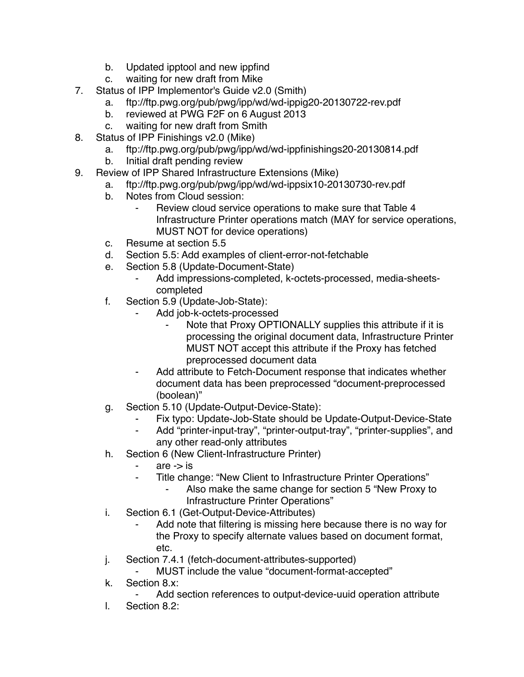- b. Updated ipptool and new ippfind
- c. waiting for new draft from Mike
- 7. Status of IPP Implementor's Guide v2.0 (Smith)
	- a. ftp://ftp.pwg.org/pub/pwg/ipp/wd/wd-ippig20-20130722-rev.pdf
	- b. reviewed at PWG F2F on 6 August 2013
	- c. waiting for new draft from Smith
- 8. Status of IPP Finishings v2.0 (Mike)
	- a. ftp://ftp.pwg.org/pub/pwg/ipp/wd/wd-ippfinishings20-20130814.pdf
	- b. Initial draft pending review
- 9. Review of IPP Shared Infrastructure Extensions (Mike)
	- a. ftp://ftp.pwg.org/pub/pwg/ipp/wd/wd-ippsix10-20130730-rev.pdf
	- b. Notes from Cloud session:
		- Review cloud service operations to make sure that Table 4 Infrastructure Printer operations match (MAY for service operations, MUST NOT for device operations)
	- c. Resume at section 5.5
	- d. Section 5.5: Add examples of client-error-not-fetchable
	- e. Section 5.8 (Update-Document-State)
		- Add impressions-completed, k-octets-processed, media-sheetscompleted
	- f. Section 5.9 (Update-Job-State):
		- Add job-k-octets-processed
			- Note that Proxy OPTIONALLY supplies this attribute if it is processing the original document data, Infrastructure Printer MUST NOT accept this attribute if the Proxy has fetched preprocessed document data
		- Add attribute to Fetch-Document response that indicates whether document data has been preprocessed "document-preprocessed (boolean)"
	- g. Section 5.10 (Update-Output-Device-State):
		- Fix typo: Update-Job-State should be Update-Output-Device-State
		- Add "printer-input-tray", "printer-output-tray", "printer-supplies", and any other read-only attributes
	- h. Section 6 (New Client-Infrastructure Printer)
		- ⁃ are -> is
			- Title change: "New Client to Infrastructure Printer Operations"
				- Also make the same change for section 5 "New Proxy to Infrastructure Printer Operations"
	- i. Section 6.1 (Get-Output-Device-Attributes)
		- Add note that filtering is missing here because there is no way for the Proxy to specify alternate values based on document format, etc.
	- j. Section 7.4.1 (fetch-document-attributes-supported)
		- MUST include the value "document-format-accepted"
	- k. Section 8.x:
		- Add section references to output-device-uuid operation attribute
	- l. Section 8.2: